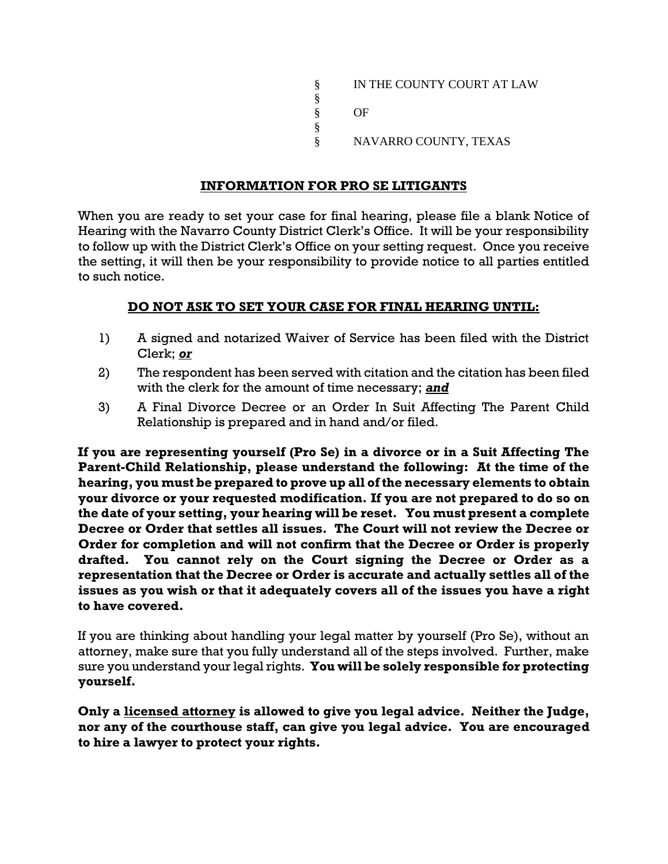§ IN THE COUNTY COURT AT LAW § § OF § § NAVARRO COUNTY, TEXAS

## **INFORMATION FOR PRO SE LITIGANTS**

When you are ready to set your case for final hearing, please file a blank Notice of Hearing with the Navarro County District Clerk's Office. It will be your responsibility to follow up with the District Clerk's Office on your setting request. Once you receive the setting, it will then be your responsibility to provide notice to all parties entitled to such notice.

## **DO NOT ASK TO SET YOUR CASE FOR FINAL HEARING UNTIL:**

- 1) A signed and notarized Waiver of Service has been filed with the District Clerk; *or*
- 2) The respondent has been served with citation and the citation has been filed with the clerk for the amount of time necessary; *and*
- 3) A Final Divorce Decree or an Order In Suit Affecting The Parent Child Relationship is prepared and in hand and/or filed.

**If you are representing yourself (Pro Se) in a divorce or in a Suit Affecting The Parent-Child Relationship, please understand the following: At the time of the hearing, you must be prepared to prove up all of the necessary elements to obtain your divorce or your requested modification. If you are not prepared to do so on the date of your setting, your hearing will be reset. You must present a complete Decree or Order that settles all issues. The Court will not review the Decree or Order for completion and will not confirm that the Decree or Order is properly drafted. You cannot rely on the Court signing the Decree or Order as a representation that the Decree or Order is accurate and actually settles all of the issues as you wish or that it adequately covers all of the issues you have a right to have covered.** 

If you are thinking about handling your legal matter by yourself (Pro Se), without an attorney, make sure that you fully understand all of the steps involved. Further, make sure you understand your legal rights. **You will be solely responsible for protecting yourself.**

**Only a licensed attorney is allowed to give you legal advice. Neither the Judge, nor any of the courthouse staff, can give you legal advice. You are encouraged to hire a lawyer to protect your rights.**